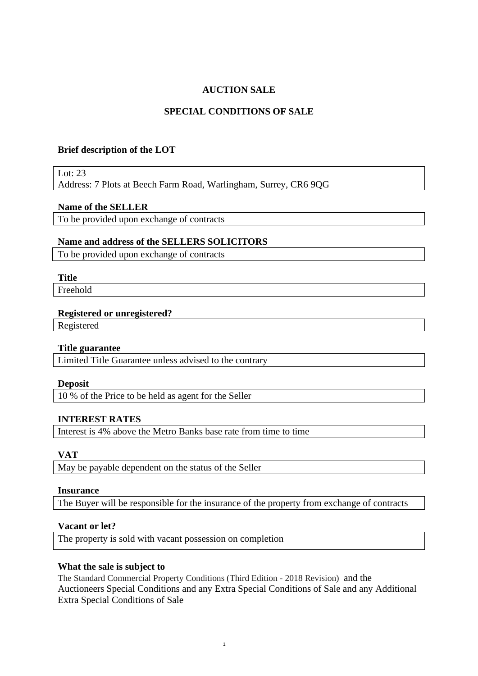## **AUCTION SALE**

## **SPECIAL CONDITIONS OF SALE**

### **Brief description of the LOT**

Lot:  $23$ 

Address: 7 Plots at Beech Farm Road, Warlingham, Surrey, CR6 9QG

### **Name of the SELLER**

To be provided upon exchange of contracts

## **Name and address of the SELLERS SOLICITORS**

To be provided upon exchange of contracts

## **Title**

Freehold

#### **Registered or unregistered?**

Registered

### **Title guarantee**

Limited Title Guarantee unless advised to the contrary

#### **Deposit**

10 % of the Price to be held as agent for the Seller

### **INTEREST RATES**

Interest is 4% above the Metro Banks base rate from time to time

## **VAT**

May be payable dependent on the status of the Seller

#### **Insurance**

The Buyer will be responsible for the insurance of the property from exchange of contracts

### **Vacant or let?**

The property is sold with vacant possession on completion

## **What the sale is subject to**

The Standard Commercial Property Conditions (Third Edition - 2018 Revision) and the Auctioneers Special Conditions and any Extra Special Conditions of Sale and any Additional Extra Special Conditions of Sale

1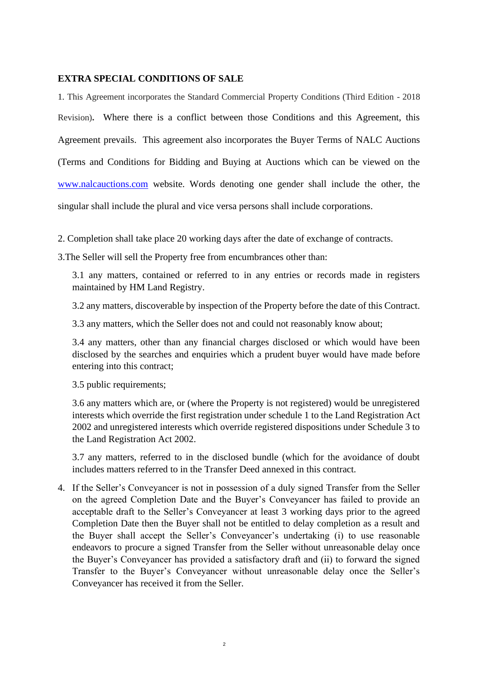## **EXTRA SPECIAL CONDITIONS OF SALE**

1. This Agreement incorporates the Standard Commercial Property Conditions (Third Edition - 2018 Revision)**.** Where there is a conflict between those Conditions and this Agreement, this Agreement prevails. This agreement also incorporates the Buyer Terms of NALC Auctions (Terms and Conditions for Bidding and Buying at Auctions which can be viewed on the [www.nalcauctions.com](http://www.nalcauctions.com/) website. Words denoting one gender shall include the other, the singular shall include the plural and vice versa persons shall include corporations.

- 2. Completion shall take place 20 working days after the date of exchange of contracts.
- 3.The Seller will sell the Property free from encumbrances other than:

3.1 any matters, contained or referred to in any entries or records made in registers maintained by HM Land Registry.

3.2 any matters, discoverable by inspection of the Property before the date of this Contract.

3.3 any matters, which the Seller does not and could not reasonably know about;

3.4 any matters, other than any financial charges disclosed or which would have been disclosed by the searches and enquiries which a prudent buyer would have made before entering into this contract;

3.5 public requirements;

3.6 any matters which are, or (where the Property is not registered) would be unregistered interests which override the first registration under schedule 1 to the Land Registration Act 2002 and unregistered interests which override registered dispositions under Schedule 3 to the Land Registration Act 2002.

3.7 any matters, referred to in the disclosed bundle (which for the avoidance of doubt includes matters referred to in the Transfer Deed annexed in this contract.

4. If the Seller's Conveyancer is not in possession of a duly signed Transfer from the Seller on the agreed Completion Date and the Buyer's Conveyancer has failed to provide an acceptable draft to the Seller's Conveyancer at least 3 working days prior to the agreed Completion Date then the Buyer shall not be entitled to delay completion as a result and the Buyer shall accept the Seller's Conveyancer's undertaking (i) to use reasonable endeavors to procure a signed Transfer from the Seller without unreasonable delay once the Buyer's Conveyancer has provided a satisfactory draft and (ii) to forward the signed Transfer to the Buyer's Conveyancer without unreasonable delay once the Seller's Conveyancer has received it from the Seller.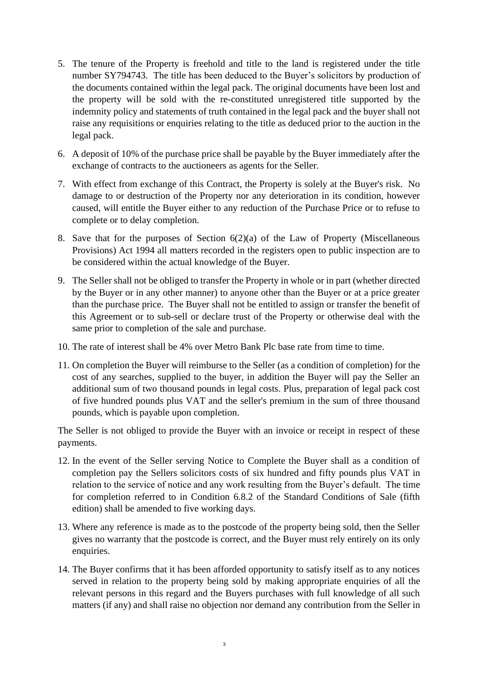- 5. The tenure of the Property is freehold and title to the land is registered under the title number SY794743. The title has been deduced to the Buyer's solicitors by production of the documents contained within the legal pack. The original documents have been lost and the property will be sold with the re-constituted unregistered title supported by the indemnity policy and statements of truth contained in the legal pack and the buyer shall not raise any requisitions or enquiries relating to the title as deduced prior to the auction in the legal pack.
- 6. A deposit of 10% of the purchase price shall be payable by the Buyer immediately after the exchange of contracts to the auctioneers as agents for the Seller.
- 7. With effect from exchange of this Contract, the Property is solely at the Buyer's risk. No damage to or destruction of the Property nor any deterioration in its condition, however caused, will entitle the Buyer either to any reduction of the Purchase Price or to refuse to complete or to delay completion.
- 8. Save that for the purposes of Section  $6(2)(a)$  of the Law of Property (Miscellaneous Provisions) Act 1994 all matters recorded in the registers open to public inspection are to be considered within the actual knowledge of the Buyer.
- 9. The Seller shall not be obliged to transfer the Property in whole or in part (whether directed by the Buyer or in any other manner) to anyone other than the Buyer or at a price greater than the purchase price. The Buyer shall not be entitled to assign or transfer the benefit of this Agreement or to sub-sell or declare trust of the Property or otherwise deal with the same prior to completion of the sale and purchase.
- 10. The rate of interest shall be 4% over Metro Bank Plc base rate from time to time.
- 11. On completion the Buyer will reimburse to the Seller (as a condition of completion) for the cost of any searches, supplied to the buyer, in addition the Buyer will pay the Seller an additional sum of two thousand pounds in legal costs. Plus, preparation of legal pack cost of five hundred pounds plus VAT and the seller's premium in the sum of three thousand pounds, which is payable upon completion.

The Seller is not obliged to provide the Buyer with an invoice or receipt in respect of these payments.

- 12. In the event of the Seller serving Notice to Complete the Buyer shall as a condition of completion pay the Sellers solicitors costs of six hundred and fifty pounds plus VAT in relation to the service of notice and any work resulting from the Buyer's default. The time for completion referred to in Condition 6.8.2 of the Standard Conditions of Sale (fifth edition) shall be amended to five working days.
- 13. Where any reference is made as to the postcode of the property being sold, then the Seller gives no warranty that the postcode is correct, and the Buyer must rely entirely on its only enquiries.
- 14. The Buyer confirms that it has been afforded opportunity to satisfy itself as to any notices served in relation to the property being sold by making appropriate enquiries of all the relevant persons in this regard and the Buyers purchases with full knowledge of all such matters (if any) and shall raise no objection nor demand any contribution from the Seller in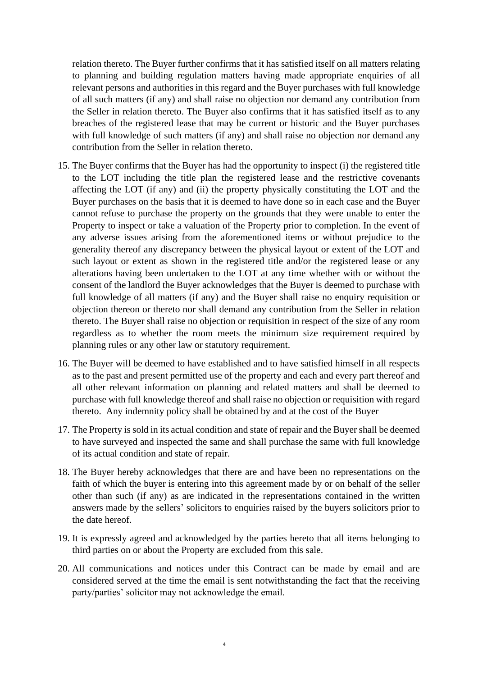relation thereto. The Buyer further confirms that it has satisfied itself on all matters relating to planning and building regulation matters having made appropriate enquiries of all relevant persons and authorities in this regard and the Buyer purchases with full knowledge of all such matters (if any) and shall raise no objection nor demand any contribution from the Seller in relation thereto. The Buyer also confirms that it has satisfied itself as to any breaches of the registered lease that may be current or historic and the Buyer purchases with full knowledge of such matters (if any) and shall raise no objection nor demand any contribution from the Seller in relation thereto.

- 15. The Buyer confirms that the Buyer has had the opportunity to inspect (i) the registered title to the LOT including the title plan the registered lease and the restrictive covenants affecting the LOT (if any) and (ii) the property physically constituting the LOT and the Buyer purchases on the basis that it is deemed to have done so in each case and the Buyer cannot refuse to purchase the property on the grounds that they were unable to enter the Property to inspect or take a valuation of the Property prior to completion. In the event of any adverse issues arising from the aforementioned items or without prejudice to the generality thereof any discrepancy between the physical layout or extent of the LOT and such layout or extent as shown in the registered title and/or the registered lease or any alterations having been undertaken to the LOT at any time whether with or without the consent of the landlord the Buyer acknowledges that the Buyer is deemed to purchase with full knowledge of all matters (if any) and the Buyer shall raise no enquiry requisition or objection thereon or thereto nor shall demand any contribution from the Seller in relation thereto. The Buyer shall raise no objection or requisition in respect of the size of any room regardless as to whether the room meets the minimum size requirement required by planning rules or any other law or statutory requirement.
- 16. The Buyer will be deemed to have established and to have satisfied himself in all respects as to the past and present permitted use of the property and each and every part thereof and all other relevant information on planning and related matters and shall be deemed to purchase with full knowledge thereof and shall raise no objection or requisition with regard thereto. Any indemnity policy shall be obtained by and at the cost of the Buyer
- 17. The Property is sold in its actual condition and state of repair and the Buyer shall be deemed to have surveyed and inspected the same and shall purchase the same with full knowledge of its actual condition and state of repair.
- 18. The Buyer hereby acknowledges that there are and have been no representations on the faith of which the buyer is entering into this agreement made by or on behalf of the seller other than such (if any) as are indicated in the representations contained in the written answers made by the sellers' solicitors to enquiries raised by the buyers solicitors prior to the date hereof.
- 19. It is expressly agreed and acknowledged by the parties hereto that all items belonging to third parties on or about the Property are excluded from this sale.
- 20. All communications and notices under this Contract can be made by email and are considered served at the time the email is sent notwithstanding the fact that the receiving party/parties' solicitor may not acknowledge the email.

4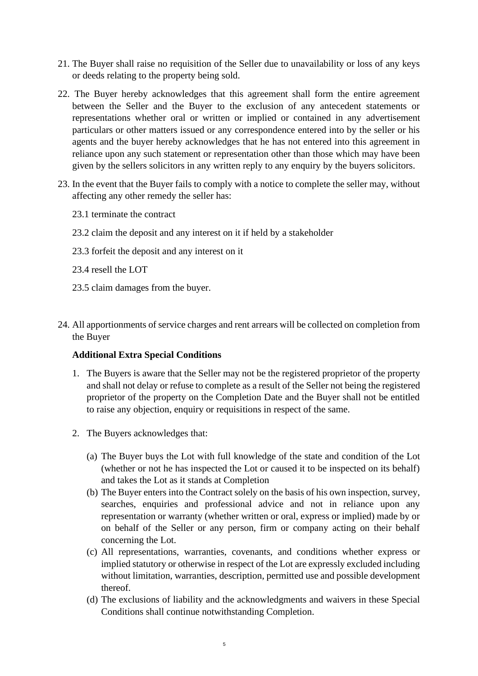- 21. The Buyer shall raise no requisition of the Seller due to unavailability or loss of any keys or deeds relating to the property being sold.
- 22. The Buyer hereby acknowledges that this agreement shall form the entire agreement between the Seller and the Buyer to the exclusion of any antecedent statements or representations whether oral or written or implied or contained in any advertisement particulars or other matters issued or any correspondence entered into by the seller or his agents and the buyer hereby acknowledges that he has not entered into this agreement in reliance upon any such statement or representation other than those which may have been given by the sellers solicitors in any written reply to any enquiry by the buyers solicitors.
- 23. In the event that the Buyer fails to comply with a notice to complete the seller may, without affecting any other remedy the seller has:
	- 23.1 terminate the contract
	- 23.2 claim the deposit and any interest on it if held by a stakeholder
	- 23.3 forfeit the deposit and any interest on it
	- 23.4 resell the LOT
	- 23.5 claim damages from the buyer.
- 24. All apportionments of service charges and rent arrears will be collected on completion from the Buyer

# **Additional Extra Special Conditions**

- 1. The Buyers is aware that the Seller may not be the registered proprietor of the property and shall not delay or refuse to complete as a result of the Seller not being the registered proprietor of the property on the Completion Date and the Buyer shall not be entitled to raise any objection, enquiry or requisitions in respect of the same.
- 2. The Buyers acknowledges that:
	- (a) The Buyer buys the Lot with full knowledge of the state and condition of the Lot (whether or not he has inspected the Lot or caused it to be inspected on its behalf) and takes the Lot as it stands at Completion
	- (b) The Buyer enters into the Contract solely on the basis of his own inspection, survey, searches, enquiries and professional advice and not in reliance upon any representation or warranty (whether written or oral, express or implied) made by or on behalf of the Seller or any person, firm or company acting on their behalf concerning the Lot.
	- (c) All representations, warranties, covenants, and conditions whether express or implied statutory or otherwise in respect of the Lot are expressly excluded including without limitation, warranties, description, permitted use and possible development thereof.
	- (d) The exclusions of liability and the acknowledgments and waivers in these Special Conditions shall continue notwithstanding Completion.